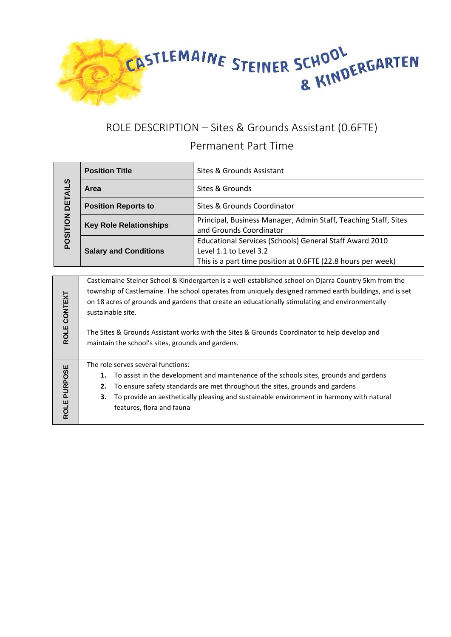

## ROLE DESCRIPTION – Sites & Grounds Assistant (0.6FTE) Permanent Part Time

| POSITION DETAILS | <b>Position Title</b>                                                                                                                                                                                                                                                                                                                                                                                                                                                                        | Sites & Grounds Assistant                                                                  |
|------------------|----------------------------------------------------------------------------------------------------------------------------------------------------------------------------------------------------------------------------------------------------------------------------------------------------------------------------------------------------------------------------------------------------------------------------------------------------------------------------------------------|--------------------------------------------------------------------------------------------|
|                  | Area                                                                                                                                                                                                                                                                                                                                                                                                                                                                                         | Sites & Grounds                                                                            |
|                  | <b>Position Reports to</b>                                                                                                                                                                                                                                                                                                                                                                                                                                                                   | Sites & Grounds Coordinator                                                                |
|                  | <b>Key Role Relationships</b>                                                                                                                                                                                                                                                                                                                                                                                                                                                                | Principal, Business Manager, Admin Staff, Teaching Staff, Sites<br>and Grounds Coordinator |
|                  | <b>Salary and Conditions</b>                                                                                                                                                                                                                                                                                                                                                                                                                                                                 | Educational Services (Schools) General Staff Award 2010<br>Level 1.1 to Level 3.2          |
|                  |                                                                                                                                                                                                                                                                                                                                                                                                                                                                                              | This is a part time position at 0.6FTE (22.8 hours per week)                               |
| ROLE CONTEXT     | Castlemaine Steiner School & Kindergarten is a well-established school on Djarra Country 5km from the<br>township of Castlemaine. The school operates from uniquely designed rammed earth buildings, and is set<br>on 18 acres of grounds and gardens that create an educationally stimulating and environmentally<br>sustainable site.<br>The Sites & Grounds Assistant works with the Sites & Grounds Coordinator to help develop and<br>maintain the school's sites, grounds and gardens. |                                                                                            |
| ROLE PURPOSE     | The role serves several functions:<br>To assist in the development and maintenance of the schools sites, grounds and gardens<br>1.<br>To ensure safety standards are met throughout the sites, grounds and gardens<br>2.<br>To provide an aesthetically pleasing and sustainable environment in harmony with natural<br>3.<br>features, flora and fauna                                                                                                                                      |                                                                                            |